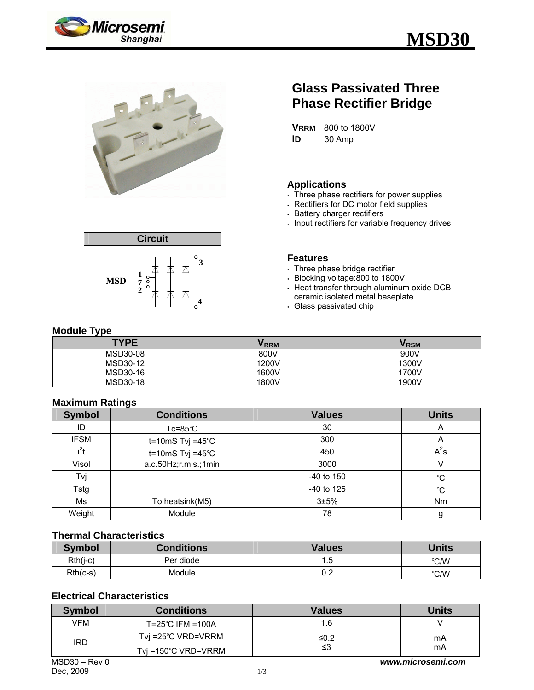





# **Glass Passivated Three Phase Rectifier Bridge**

**VRRM** 800 to 1800V **ID** 30 Amp

#### **Applications**

- Three phase rectifiers for power supplies
- . Rectifiers for DC motor field supplies
- **Battery charger rectifiers**
- $\cdot$  Input rectifiers for variable frequency drives

#### **Features**

- $\cdot$  Three phase bridge rectifier
- <sup>y</sup> Blocking voltage:800 to 1800V
- <sup>y</sup> Heat transfer through aluminum oxide DCB ceramic isolated metal baseplate
- . Glass passivated chip

#### **Module Type**

| <b>TYPE</b> | <b>VRRM</b> | <b>VRSM</b> |
|-------------|-------------|-------------|
| MSD30-08    | 800V        | 900V        |
| MSD30-12    | 1200V       | 1300V       |
| MSD30-16    | 1600V       | 1700V       |
| MSD30-18    | 1800V       | 1900V       |

#### **Maximum Ratings**

| <b>Symbol</b>    | <b>Conditions</b>            | <b>Values</b> | <b>Units</b> |
|------------------|------------------------------|---------------|--------------|
| ID               | $Tc = 85^{\circ}C$           | 30            | A            |
| <b>IFSM</b>      | t=10mS Tvj =45 $°C$          | 300           | A            |
| i <sup>2</sup> t | $t = 10 \text{mS}$ Tvj =45°C | 450           | $A^2s$       |
| Visol            | a.c.50Hz;r.m.s.;1min         | 3000          |              |
| Tvj              |                              | $-40$ to 150  | $^{\circ}C$  |
| Tstg             |                              | -40 to 125    | °C           |
| Ms               | To heatsink(M5)              | 3±5%          | Nm           |
| Weight           | Module                       | 78            | g            |

#### **Thermal Characteristics**

| <b>Symbol</b> | <b>Conditions</b> | <b>Values</b> | <b>Units</b> |
|---------------|-------------------|---------------|--------------|
| $Rth(j-c)$    | Per diode         | . .5          | °C/W         |
| $Rth(c-s)$    | Module            | ሰ ባ<br>U.Z    | °C/W         |

## **Electrical Characteristics**

| <b>Symbol</b>  | <b>Conditions</b>   | <b>Values</b>     | <b>Units</b> |
|----------------|---------------------|-------------------|--------------|
| VFM            | T=25°C IFM =100A    | 1.6               |              |
| <b>IRD</b>     | Tvj =25°C VRD=VRRM  | ≤0.2              | mA           |
|                | Tvi =150°C VRD=VRRM | ≤3                | mA           |
| $MSD30 - Rev0$ |                     | www.microsemi.com |              |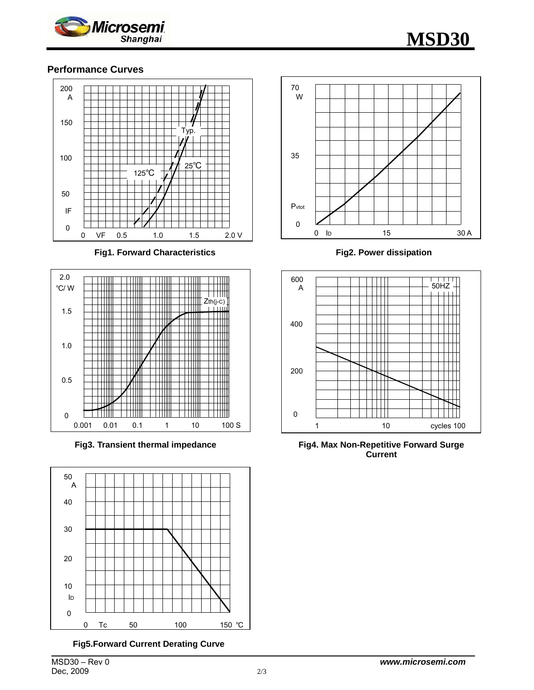

## **Performance Curves**



**Fig1. Forward Characteristics** 



**Fig3. Transient thermal impedance** 



**Fig5.Forward Current Derating Curve** 



**Fig2. Power dissipation**



**Fig4. Max Non-Repetitive Forward Surge Current**